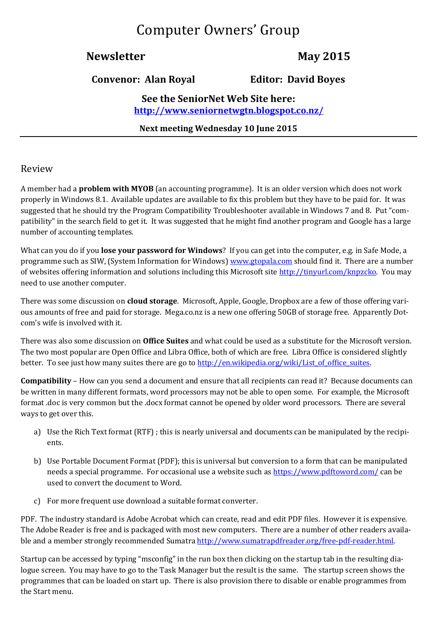# Computer Owners' Group

# **Newsletter May 2015**

**Convenor: Alan Royal Editor: David Boyes**

**See the SeniorNet Web Site here: <http://www.seniornetwgtn.blogspot.co.nz/>**

**Next meeting Wednesday 10 June 2015** 

### Review

A member had a **problem with MYOB** (an accounting programme). It is an older version which does not work properly in Windows 8.1. Available updates are available to fix this problem but they have to be paid for. It was suggested that he should try the Program Compatibility Troubleshooter available in Windows 7 and 8. Put "compatibility" in the search field to get it. It was suggested that he might find another program and Google has a large number of accounting templates.

What can you do if you **lose your password for Windows**? If you can get into the computer, e.g. in Safe Mode, a programme such as SIW, (System Information for Windows) [www.gtopala.com](http://www.gtopala.com/) should find it. There are a number of websites offering information and solutions including this Microsoft sit[e http://tinyurl.com/knpzcko.](http://tinyurl.com/knpzcko) You may need to use another computer.

There was some discussion on **cloud storage**. Microsoft, Apple, Google, Dropbox are a few of those offering various amounts of free and paid for storage. Mega.co.nz is a new one offering 50GB of storage free. Apparently Dotcom's wife is involved with it.

There was also some discussion on **Office Suites** and what could be used as a substitute for the Microsoft version. The two most popular are Open Office and Libra Office, both of which are free. Libra Office is considered slightly better. To see just how many suites there are go to [http://en.wikipedia.org/wiki/List\\_of\\_office\\_suites.](http://en.wikipedia.org/wiki/List_of_office_suites)

**Compatibility** – How can you send a document and ensure that all recipients can read it? Because documents can be written in many different formats, word processors may not be able to open some. For example, the Microsoft format .doc is very common but the .docx format cannot be opened by older word processors. There are several ways to get over this.

- a) Use the Rich Text format (RTF) ; this is nearly universal and documents can be manipulated by the recipients.
- b) Use Portable Document Format (PDF); this is universal but conversion to a form that can be manipulated needs a special programme. For occasional use a website such as<https://www.pdftoword.com/> can be used to convert the document to Word.
- c) For more frequent use download a suitable format converter.

PDF. The industry standard is Adobe Acrobat which can create, read and edit PDF files. However it is expensive. The Adobe Reader is free and is packaged with most new computers. There are a number of other readers available and a member strongly recommended Sumatra [http://www.sumatrapdfreader.org/free-pdf-reader.html.](http://www.sumatrapdfreader.org/free-pdf-reader.html)

Startup can be accessed by typing "msconfig" in the run box then clicking on the startup tab in the resulting dialogue screen. You may have to go to the Task Manager but the result is the same. The startup screen shows the programmes that can be loaded on start up. There is also provision there to disable or enable programmes from the Start menu.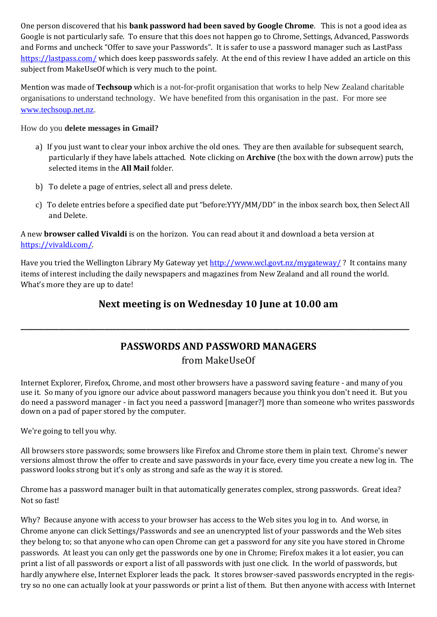One person discovered that his **bank password had been saved by Google Chrome**. This is not a good idea as Google is not particularly safe. To ensure that this does not happen go to Chrome, Settings, Advanced, Passwords and Forms and uncheck "Offer to save your Passwords". It is safer to use a password manager such as LastPass <https://lastpass.com/> which does keep passwords safely. At the end of this review I have added an article on this subject from MakeUseOf which is very much to the point.

Mention was made of **Techsoup** which is a not-for-profit organisation that works to help New Zealand charitable organisations to understand technology. We have benefited from this organisation in the past. For more see [www.techsoup.net.nz.](http://www.techsoup.net.nz/)

#### How do you **delete messages in Gmail?**

- a) If you just want to clear your inbox archive the old ones. They are then available for subsequent search, particularly if they have labels attached. Note clicking on **Archive** (the box with the down arrow) puts the selected items in the **All Mail** folder.
- b) To delete a page of entries, select all and press delete.
- c) To delete entries before a specified date put "before:YYY/MM/DD" in the inbox search box, then Select All and Delete.

A new **browser called Vivaldi** is on the horizon. You can read about it and download a beta version at [https://vivaldi.com/.](https://vivaldi.com/)

Have you tried the Wellington Library My Gateway yet <http://www.wcl.govt.nz/mygateway/> ? It contains many items of interest including the daily newspapers and magazines from New Zealand and all round the world. What's more they are up to date!

# **Next meeting is on Wednesday 10 June at 10.00 am**

# **PASSWORDS AND PASSWORD MANAGERS**

**\_\_\_\_\_\_\_\_\_\_\_\_\_\_\_\_\_\_\_\_\_\_\_\_\_\_\_\_\_\_\_\_\_\_\_\_\_\_\_\_\_\_\_\_\_\_\_\_\_\_\_\_\_\_\_\_\_\_\_\_\_\_\_\_\_\_\_\_\_\_\_\_\_\_\_\_\_\_\_\_\_\_\_\_\_\_\_\_\_\_\_\_\_\_\_\_\_\_\_\_\_\_**

## from MakeUseOf

Internet Explorer, Firefox, Chrome, and most other browsers have a password saving feature - and many of you use it. So many of you ignore our advice about password managers because you think you don't need it. But you do need a password manager - in fact you need a password [manager?] more than someone who writes passwords down on a pad of paper stored by the computer.

We're going to tell you why.

All browsers store passwords; some browsers like Firefox and Chrome store them in plain text. Chrome's newer versions almost throw the offer to create and save passwords in your face, every time you create a new log in. The password looks strong but it's only as strong and safe as the way it is stored.

Chrome has a password manager built in that automatically generates complex, strong passwords. Great idea? Not so fast!

Why? Because anyone with access to your browser has access to the Web sites you log in to. And worse, in Chrome anyone can click Settings/Passwords and see an unencrypted list of your passwords and the Web sites they belong to; so that anyone who can open Chrome can get a password for any site you have stored in Chrome passwords. At least you can only get the passwords one by one in Chrome; Firefox makes it a lot easier, you can print a list of all passwords or export a list of all passwords with just one click. In the world of passwords, but hardly anywhere else, Internet Explorer leads the pack. It stores browser-saved passwords encrypted in the registry so no one can actually look at your passwords or print a list of them. But then anyone with access with Internet